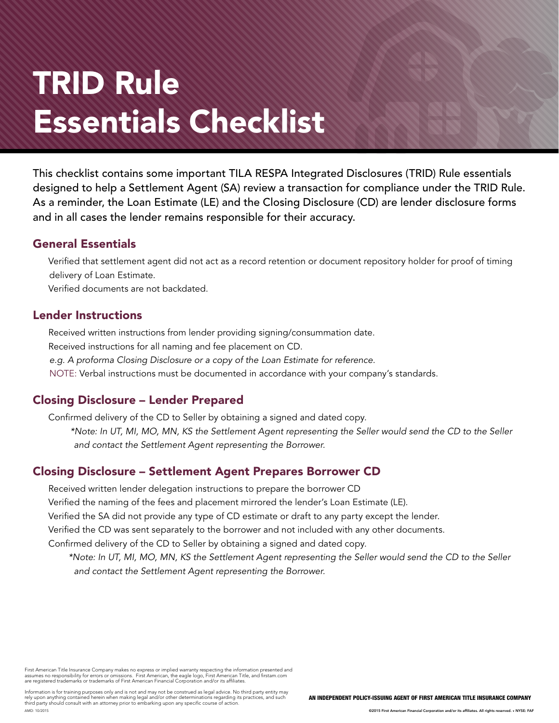# TRID Rule Essentials Checklist

This checklist contains some important TILA RESPA Integrated Disclosures (TRID) Rule essentials designed to help a Settlement Agent (SA) review a transaction for compliance under the TRID Rule. As a reminder, the Loan Estimate (LE) and the Closing Disclosure (CD) are lender disclosure forms and in all cases the lender remains responsible for their accuracy.

### General Essentials

 Verified that settlement agent did not act as a record retention or document repository holder for proof of timing delivery of Loan Estimate.

Verified documents are not backdated.

#### Lender Instructions

 Received written instructions from lender providing signing/consummation date. Received instructions for all naming and fee placement on CD. *e.g. A proforma Closing Disclosure or a copy of the Loan Estimate for reference.* NOTE: Verbal instructions must be documented in accordance with your company's standards.

## Closing Disclosure – Lender Prepared

Confirmed delivery of the CD to Seller by obtaining a signed and dated copy.

*\*Note: In UT, MI, MO, MN, KS the Settlement Agent representing the Seller would send the CD to the Seller and contact the Settlement Agent representing the Borrower.* 

### Closing Disclosure – Settlement Agent Prepares Borrower CD

 Received written lender delegation instructions to prepare the borrower CD Verified the naming of the fees and placement mirrored the lender's Loan Estimate (LE). Verified the SA did not provide any type of CD estimate or draft to any party except the lender. Verified the CD was sent separately to the borrower and not included with any other documents. Confirmed delivery of the CD to Seller by obtaining a signed and dated copy.

*\*Note: In UT, MI, MO, MN, KS the Settlement Agent representing the Seller would send the CD to the Seller and contact the Settlement Agent representing the Borrower.*

First American Title Insurance Company makes no express or implied warranty respecting the information presented and<br>assumes no responsibility for errors or omissions. First American, the eagle logo, First American Title,

Information is for training purposes only and is not and may not be construed as legal advice. No third party entity may rely upon anything contained herein when making legal and/or other determinations regarding its practices, and such third party should consult with an attorney prior to embarking upon any specific course of action. AMD: 10/2015